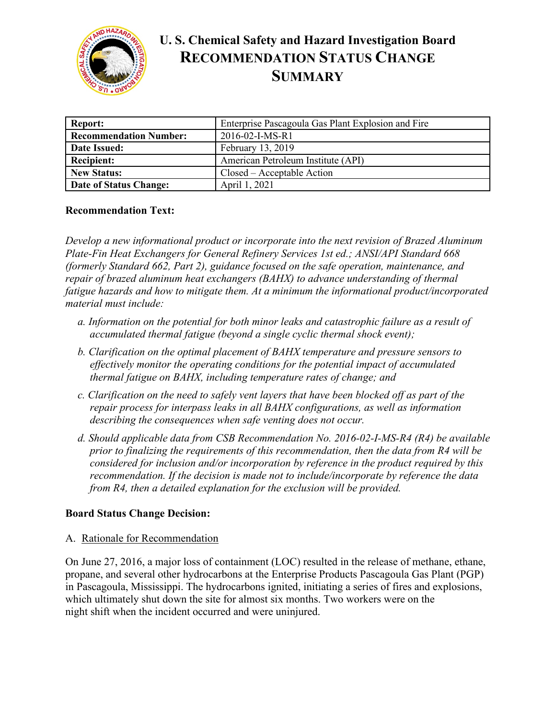

# **U. S. Chemical Safety and Hazard Investigation Board RECOMMENDATION STATUS CHANGE SUMMARY**

| <b>Report:</b>                | Enterprise Pascagoula Gas Plant Explosion and Fire |
|-------------------------------|----------------------------------------------------|
| <b>Recommendation Number:</b> | $2016 - 02 - I - MS - R1$                          |
| Date Issued:                  | February 13, 2019                                  |
| <b>Recipient:</b>             | American Petroleum Institute (API)                 |
| <b>New Status:</b>            | Closed – Acceptable Action                         |
| Date of Status Change:        | April 1, 2021                                      |

## **Recommendation Text:**

*Develop a new informational product or incorporate into the next revision of Brazed Aluminum Plate-Fin Heat Exchangers for General Refinery Services 1st ed.; ANSI/API Standard 668 (formerly Standard 662, Part 2), guidance focused on the safe operation, maintenance, and repair of brazed aluminum heat exchangers (BAHX) to advance understanding of thermal fatigue hazards and how to mitigate them. At a minimum the informational product/incorporated material must include:*

- *a. Information on the potential for both minor leaks and catastrophic failure as a result of accumulated thermal fatigue (beyond a single cyclic thermal shock event);*
- *b. Clarification on the optimal placement of BAHX temperature and pressure sensors to effectively monitor the operating conditions for the potential impact of accumulated thermal fatigue on BAHX, including temperature rates of change; and*
- *c. Clarification on the need to safely vent layers that have been blocked off as part of the repair process for interpass leaks in all BAHX configurations, as well as information describing the consequences when safe venting does not occur.*
- *d. Should applicable data from CSB Recommendation No. 2016-02-I-MS-R4 (R4) be available prior to finalizing the requirements of this recommendation, then the data from R4 will be considered for inclusion and/or incorporation by reference in the product required by this recommendation. If the decision is made not to include/incorporate by reference the data from R4, then a detailed explanation for the exclusion will be provided.*

## **Board Status Change Decision:**

A. Rationale for Recommendation

On June 27, 2016, a major loss of containment (LOC) resulted in the release of methane, ethane, propane, and several other hydrocarbons at the Enterprise Products Pascagoula Gas Plant (PGP) in Pascagoula, Mississippi. The hydrocarbons ignited, initiating a series of fires and explosions, which ultimately shut down the site for almost six months. Two workers were on the night shift when the incident occurred and were uninjured.